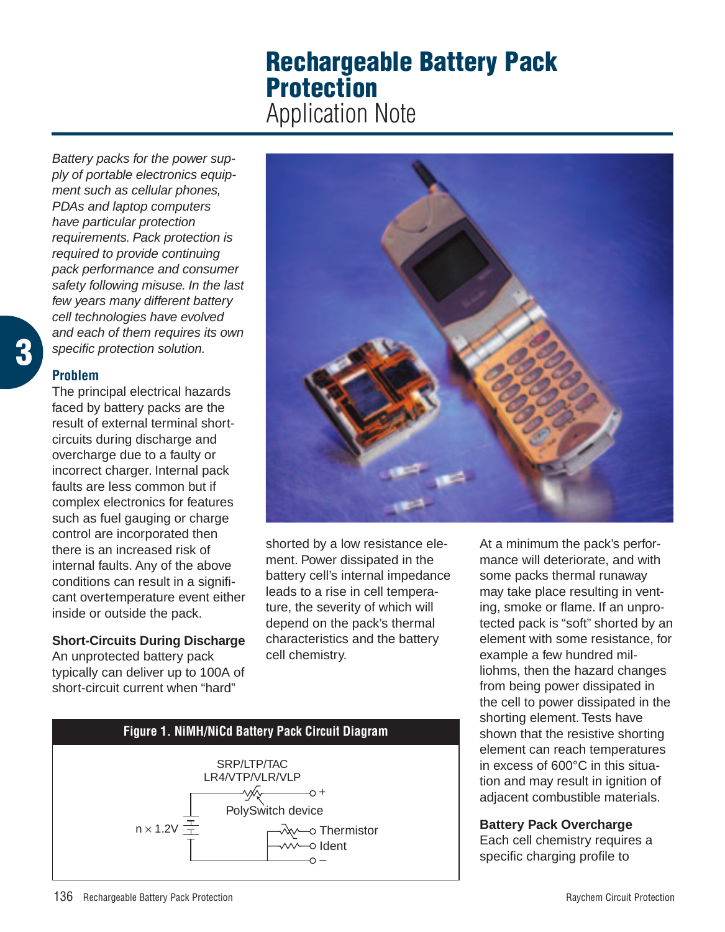# **Rechargeable Battery Pack Protection** Application Note

Battery packs for the power supply of portable electronics equipment such as cellular phones, PDAs and laptop computers have particular protection requirements. Pack protection is required to provide continuing pack performance and consumer safety following misuse. In the last few years many different battery cell technologies have evolved and each of them requires its own specific protection solution.

### **Problem**

The principal electrical hazards faced by battery packs are the result of external terminal shortcircuits during discharge and overcharge due to a faulty or incorrect charger. Internal pack faults are less common but if complex electronics for features such as fuel gauging or charge control are incorporated then there is an increased risk of internal faults. Any of the above conditions can result in a significant overtemperature event either inside or outside the pack.

# **Short-Circuits During Discharge**

An unprotected battery pack typically can deliver up to 100A of short-circuit current when "hard"



shorted by a low resistance element. Power dissipated in the battery cell's internal impedance leads to a rise in cell temperature, the severity of which will depend on the pack's thermal characteristics and the battery cell chemistry.



# **Battery Pack Overcharge**

Each cell chemistry requires a specific charging profile to

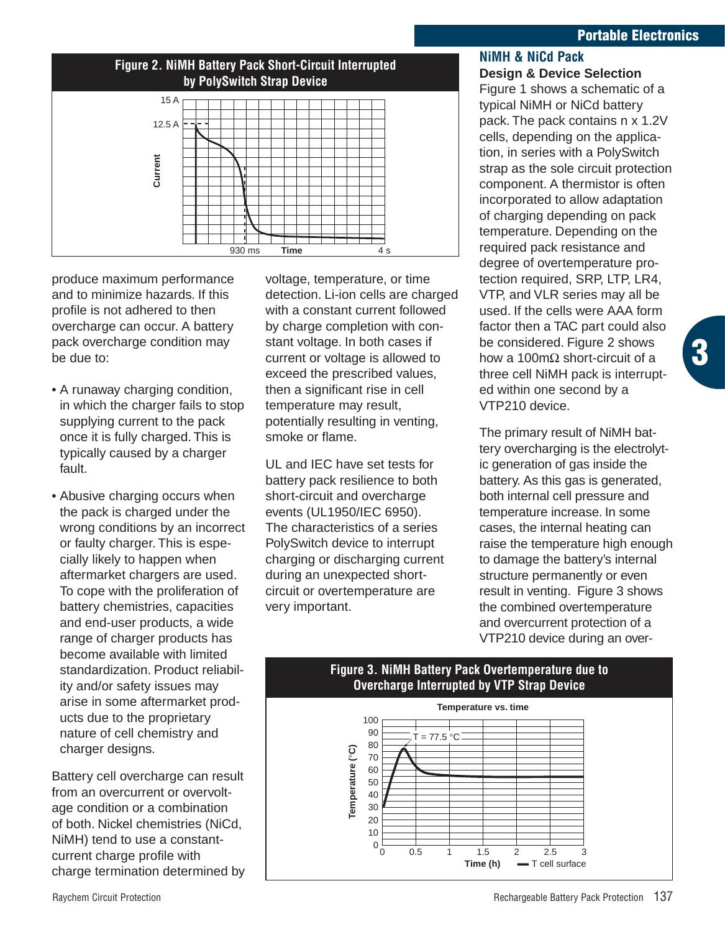### **Portable Electronics**

**3**



produce maximum performance and to minimize hazards. If this profile is not adhered to then overcharge can occur. A battery pack overcharge condition may be due to:

- A runaway charging condition, in which the charger fails to stop supplying current to the pack once it is fully charged. This is typically caused by a charger fault.
- Abusive charging occurs when the pack is charged under the wrong conditions by an incorrect or faulty charger. This is especially likely to happen when aftermarket chargers are used. To cope with the proliferation of battery chemistries, capacities and end-user products, a wide range of charger products has become available with limited standardization. Product reliability and/or safety issues may arise in some aftermarket products due to the proprietary nature of cell chemistry and charger designs.

Battery cell overcharge can result from an overcurrent or overvoltage condition or a combination of both. Nickel chemistries (NiCd, NiMH) tend to use a constantcurrent charge profile with charge termination determined by voltage, temperature, or time detection. Li-ion cells are charged with a constant current followed by charge completion with constant voltage. In both cases if current or voltage is allowed to exceed the prescribed values, then a significant rise in cell temperature may result, potentially resulting in venting, smoke or flame.

UL and IEC have set tests for battery pack resilience to both short-circuit and overcharge events (UL1950/IEC 6950). The characteristics of a series PolySwitch device to interrupt charging or discharging current during an unexpected shortcircuit or overtemperature are very important.

#### **NiMH & NiCd Pack Design & Device Selection**

Figure 1 shows a schematic of a typical NiMH or NiCd battery pack. The pack contains n x 1.2V cells, depending on the application, in series with a PolySwitch strap as the sole circuit protection component. A thermistor is often incorporated to allow adaptation of charging depending on pack temperature. Depending on the required pack resistance and degree of overtemperature protection required, SRP, LTP, LR4, VTP, and VLR series may all be used. If the cells were AAA form factor then a TAC part could also be considered. Figure 2 shows how a 100mΩ short-circuit of a three cell NiMH pack is interrupted within one second by a VTP210 device.

The primary result of NiMH battery overcharging is the electrolytic generation of gas inside the battery. As this gas is generated, both internal cell pressure and temperature increase. In some cases, the internal heating can raise the temperature high enough to damage the battery's internal structure permanently or even result in venting. Figure 3 shows the combined overtemperature and overcurrent protection of a VTP210 device during an over-

# **Figure 3. NiMH Battery Pack Overtemperature due to Overcharge Interrupted by VTP Strap Device**